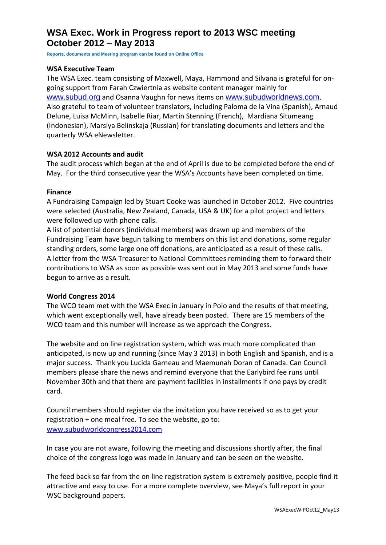# **WSA Exec. Work in Progress report to 2013 WSC meeting October 2012 – May 2013**

**Reports, documents and Meeting program can be found on Online Office**

#### **WSA Executive Team**

The WSA Exec. team consisting of Maxwell, Maya, Hammond and Silvana is **g**rateful for ongoing support from Farah Czwiertnia as website content manager mainly for [www.subud.org](http://www.subud.org/) and Osanna Vaughn for news items on [www.subudworldnews.com](http://www.subudworldnews.com/). Also grateful to team of volunteer translators, including Paloma de la Vina (Spanish), Arnaud Delune, Luisa McMinn, Isabelle Riar, Martin Stenning (French), Mardiana Situmeang (Indonesian), Marsiya Belinskaja (Russian) for translating documents and letters and the quarterly WSA eNewsletter.

#### **WSA 2012 Accounts and audit**

The audit process which began at the end of April is due to be completed before the end of May. For the third consecutive year the WSA's Accounts have been completed on time.

#### **Finance**

A Fundraising Campaign led by Stuart Cooke was launched in October 2012. Five countries were selected (Australia, New Zealand, Canada, USA & UK) for a pilot project and letters were followed up with phone calls.

A list of potential donors (individual members) was drawn up and members of the Fundraising Team have begun talking to members on this list and donations, some regular standing orders, some large one off donations, are anticipated as a result of these calls. A letter from the WSA Treasurer to National Committees reminding them to forward their contributions to WSA as soon as possible was sent out in May 2013 and some funds have begun to arrive as a result.

#### **World Congress 2014**

The WCO team met with the WSA Exec in January in Poio and the results of that meeting, which went exceptionally well, have already been posted. There are 15 members of the WCO team and this number will increase as we approach the Congress.

The website and on line registration system, which was much more complicated than anticipated, is now up and running (since May 3 2013) in both English and Spanish, and is a major success. Thank you Lucida Garneau and Maemunah Doran of Canada. Can Council members please share the news and remind everyone that the Earlybird fee runs until November 30th and that there are payment facilities in installments if one pays by credit card.

Council members should register via the invitation you have received so as to get your registration + one meal free. To see the website, go to: [www.subudworldcongress2014.com](http://www.subudworldcongress2014.com/)

In case you are not aware, following the meeting and discussions shortly after, the final choice of the congress logo was made in January and can be seen on the website.

The feed back so far from the on line registration system is extremely positive, people find it attractive and easy to use. For a more complete overview, see Maya's full report in your WSC background papers.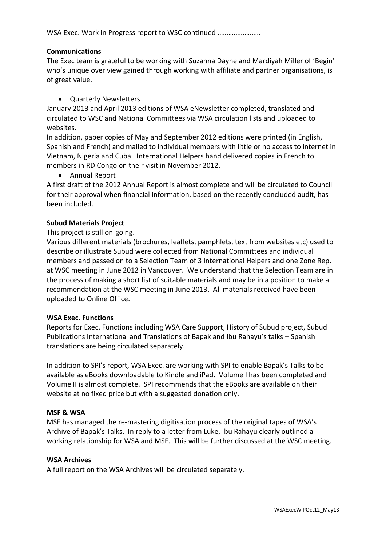## **Communications**

The Exec team is grateful to be working with Suzanna Dayne and Mardiyah Miller of 'Begin' who's unique over view gained through working with affiliate and partner organisations, is of great value.

## Quarterly Newsletters

January 2013 and April 2013 editions of WSA eNewsletter completed, translated and circulated to WSC and National Committees via WSA circulation lists and uploaded to websites.

In addition, paper copies of May and September 2012 editions were printed (in English, Spanish and French) and mailed to individual members with little or no access to internet in Vietnam, Nigeria and Cuba. International Helpers hand delivered copies in French to members in RD Congo on their visit in November 2012.

Annual Report

A first draft of the 2012 Annual Report is almost complete and will be circulated to Council for their approval when financial information, based on the recently concluded audit, has been included.

## **Subud Materials Project**

## This project is still on-going.

Various different materials (brochures, leaflets, pamphlets, text from websites etc) used to describe or illustrate Subud were collected from National Committees and individual members and passed on to a Selection Team of 3 International Helpers and one Zone Rep. at WSC meeting in June 2012 in Vancouver. We understand that the Selection Team are in the process of making a short list of suitable materials and may be in a position to make a recommendation at the WSC meeting in June 2013. All materials received have been uploaded to Online Office.

#### **WSA Exec. Functions**

Reports for Exec. Functions including WSA Care Support, History of Subud project, Subud Publications International and Translations of Bapak and Ibu Rahayu's talks – Spanish translations are being circulated separately.

In addition to SPI's report, WSA Exec. are working with SPI to enable Bapak's Talks to be available as eBooks downloadable to Kindle and iPad. Volume I has been completed and Volume II is almost complete. SPI recommends that the eBooks are available on their website at no fixed price but with a suggested donation only.

#### **MSF & WSA**

MSF has managed the re-mastering digitisation process of the original tapes of WSA's Archive of Bapak's Talks. In reply to a letter from Luke, Ibu Rahayu clearly outlined a working relationship for WSA and MSF. This will be further discussed at the WSC meeting.

#### **WSA Archives**

A full report on the WSA Archives will be circulated separately.